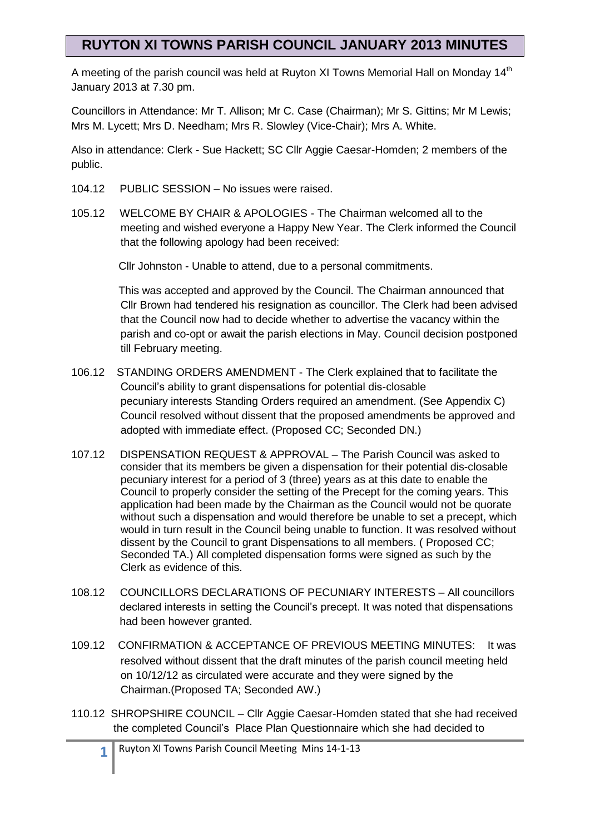A meeting of the parish council was held at Ruyton XI Towns Memorial Hall on Monday 14<sup>th</sup> January 2013 at 7.30 pm.

Councillors in Attendance: Mr T. Allison; Mr C. Case (Chairman); Mr S. Gittins; Mr M Lewis; Mrs M. Lycett; Mrs D. Needham; Mrs R. Slowley (Vice-Chair); Mrs A. White.

Also in attendance: Clerk - Sue Hackett; SC Cllr Aggie Caesar-Homden; 2 members of the public.

- 104.12 PUBLIC SESSION No issues were raised.
- 105.12 WELCOME BY CHAIR & APOLOGIES The Chairman welcomed all to the meeting and wished everyone a Happy New Year. The Clerk informed the Council that the following apology had been received:

Cllr Johnston - Unable to attend, due to a personal commitments.

 This was accepted and approved by the Council. The Chairman announced that Cllr Brown had tendered his resignation as councillor. The Clerk had been advised that the Council now had to decide whether to advertise the vacancy within the parish and co-opt or await the parish elections in May. Council decision postponed till February meeting.

- 106.12 STANDING ORDERS AMENDMENT The Clerk explained that to facilitate the Council's ability to grant dispensations for potential dis-closable pecuniary interests Standing Orders required an amendment. (See Appendix C) Council resolved without dissent that the proposed amendments be approved and adopted with immediate effect. (Proposed CC; Seconded DN.)
- 107.12 DISPENSATION REQUEST & APPROVAL The Parish Council was asked to consider that its members be given a dispensation for their potential dis-closable pecuniary interest for a period of 3 (three) years as at this date to enable the Council to properly consider the setting of the Precept for the coming years. This application had been made by the Chairman as the Council would not be quorate without such a dispensation and would therefore be unable to set a precept, which would in turn result in the Council being unable to function. It was resolved without dissent by the Council to grant Dispensations to all members. ( Proposed CC; Seconded TA.) All completed dispensation forms were signed as such by the Clerk as evidence of this.
- 108.12 COUNCILLORS DECLARATIONS OF PECUNIARY INTERESTS All councillors declared interests in setting the Council's precept. It was noted that dispensations had been however granted.
- 109.12 CONFIRMATION & ACCEPTANCE OF PREVIOUS MEETING MINUTES: It was resolved without dissent that the draft minutes of the parish council meeting held on 10/12/12 as circulated were accurate and they were signed by the Chairman.(Proposed TA; Seconded AW.)
- 110.12 SHROPSHIRE COUNCIL Cllr Aggie Caesar-Homden stated that she had received the completed Council's Place Plan Questionnaire which she had decided to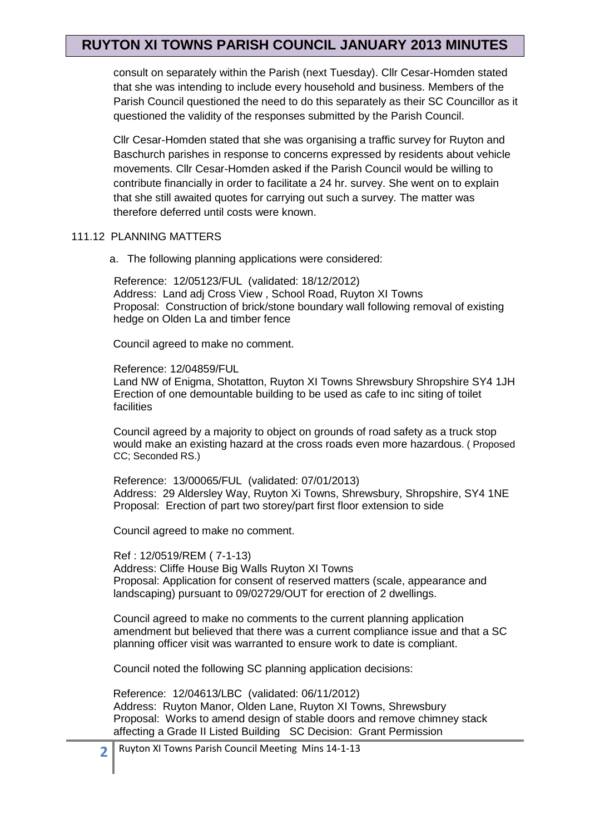consult on separately within the Parish (next Tuesday). Cllr Cesar-Homden stated that she was intending to include every household and business. Members of the Parish Council questioned the need to do this separately as their SC Councillor as it questioned the validity of the responses submitted by the Parish Council.

 Cllr Cesar-Homden stated that she was organising a traffic survey for Ruyton and Baschurch parishes in response to concerns expressed by residents about vehicle movements. Cllr Cesar-Homden asked if the Parish Council would be willing to contribute financially in order to facilitate a 24 hr. survey. She went on to explain that she still awaited quotes for carrying out such a survey. The matter was therefore deferred until costs were known.

#### 111.12 PLANNING MATTERS

a. The following planning applications were considered:

 Reference: 12/05123/FUL (validated: 18/12/2012) Address: Land adj Cross View , School Road, Ruyton XI Towns Proposal: Construction of brick/stone boundary wall following removal of existing hedge on Olden La and timber fence

Council agreed to make no comment.

Reference: 12/04859/FUL

Land NW of Enigma, Shotatton, Ruyton XI Towns Shrewsbury Shropshire SY4 1JH Erection of one demountable building to be used as cafe to inc siting of toilet facilities

Council agreed by a majority to object on grounds of road safety as a truck stop would make an existing hazard at the cross roads even more hazardous. ( Proposed CC; Seconded RS.)

Reference: 13/00065/FUL (validated: 07/01/2013) Address: 29 Aldersley Way, Ruyton Xi Towns, Shrewsbury, Shropshire, SY4 1NE Proposal: Erection of part two storey/part first floor extension to side

Council agreed to make no comment.

Ref : 12/0519/REM ( 7-1-13) Address: Cliffe House Big Walls Ruyton XI Towns Proposal: Application for consent of reserved matters (scale, appearance and landscaping) pursuant to 09/02729/OUT for erection of 2 dwellings.

Council agreed to make no comments to the current planning application amendment but believed that there was a current compliance issue and that a SC planning officer visit was warranted to ensure work to date is compliant.

Council noted the following SC planning application decisions:

 Reference: 12/04613/LBC (validated: 06/11/2012) Address: Ruyton Manor, Olden Lane, Ruyton XI Towns, Shrewsbury Proposal: Works to amend design of stable doors and remove chimney stack affecting a Grade II Listed Building SC Decision: Grant Permission

Ruyton XI Towns Parish Council Meeting Mins 14-1-13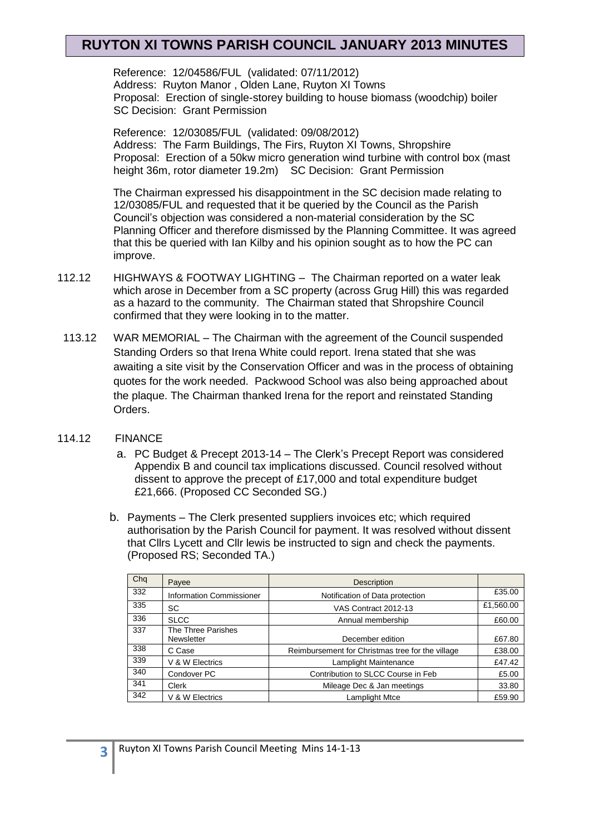Reference: 12/04586/FUL (validated: 07/11/2012) Address: Ruyton Manor , Olden Lane, Ruyton XI Towns Proposal: Erection of single-storey building to house biomass (woodchip) boiler SC Decision: Grant Permission

 Reference: 12/03085/FUL (validated: 09/08/2012) Address: The Farm Buildings, The Firs, Ruyton XI Towns, Shropshire Proposal: Erection of a 50kw micro generation wind turbine with control box (mast height 36m, rotor diameter 19.2m) SC Decision: Grant Permission

 The Chairman expressed his disappointment in the SC decision made relating to 12/03085/FUL and requested that it be queried by the Council as the Parish Council's objection was considered a non-material consideration by the SC Planning Officer and therefore dismissed by the Planning Committee. It was agreed that this be queried with Ian Kilby and his opinion sought as to how the PC can improve.

- 112.12 HIGHWAYS & FOOTWAY LIGHTING The Chairman reported on a water leak which arose in December from a SC property (across Grug Hill) this was regarded as a hazard to the community. The Chairman stated that Shropshire Council confirmed that they were looking in to the matter.
- 113.12 WAR MEMORIAL The Chairman with the agreement of the Council suspended Standing Orders so that Irena White could report. Irena stated that she was awaiting a site visit by the Conservation Officer and was in the process of obtaining quotes for the work needed. Packwood School was also being approached about the plaque. The Chairman thanked Irena for the report and reinstated Standing Orders.

#### 114.12 FINANCE

- a. PC Budget & Precept 2013-14 The Clerk's Precept Report was considered Appendix B and council tax implications discussed. Council resolved without dissent to approve the precept of £17,000 and total expenditure budget £21,666. (Proposed CC Seconded SG.)
- b. Payments The Clerk presented suppliers invoices etc; which required authorisation by the Parish Council for payment. It was resolved without dissent that Cllrs Lycett and Cllr lewis be instructed to sign and check the payments. (Proposed RS; Seconded TA.)

| Chq | Payee                           | <b>Description</b>                               |           |
|-----|---------------------------------|--------------------------------------------------|-----------|
| 332 | <b>Information Commissioner</b> | Notification of Data protection                  | £35.00    |
| 335 | SC                              | VAS Contract 2012-13                             | £1,560.00 |
| 336 | <b>SLCC</b>                     | Annual membership                                | £60.00    |
| 337 | The Three Parishes              |                                                  |           |
|     | Newsletter                      | December edition                                 | £67.80    |
| 338 | C Case                          | Reimbursement for Christmas tree for the village | £38.00    |
| 339 | V & W Electrics                 | Lamplight Maintenance                            | £47.42    |
| 340 | Condover PC                     | Contribution to SLCC Course in Feb               | £5.00     |
| 341 | Clerk                           | Mileage Dec & Jan meetings                       | 33.80     |
| 342 | V & W Electrics                 | Lamplight Mtce                                   | £59.90    |